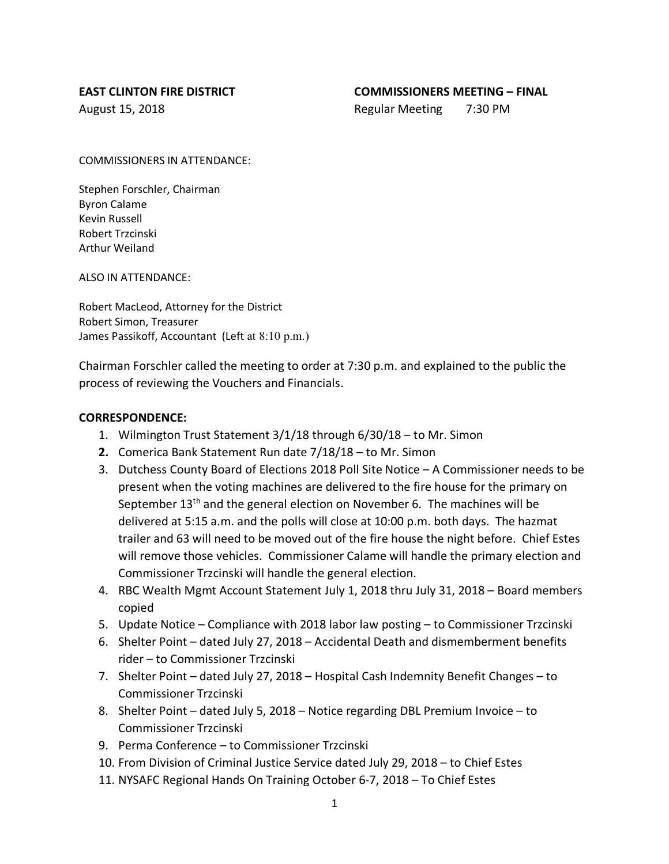#### **EAST CLINTON FIRE DISTRICT COMMISSIONERS MEETING – FINAL**

August 15, 2018 **Regular Meeting 7:30 PM** 

COMMISSIONERS IN ATTENDANCE:

Stephen Forschler, Chairman Byron Calame Kevin Russell Robert Trzcinski Arthur Weiland

ALSO IN ATTENDANCE:

Robert MacLeod, Attorney for the District Robert Simon, Treasurer James Passikoff, Accountant (Left at 8:10 p.m.)

Chairman Forschler called the meeting to order at 7:30 p.m. and explained to the public the process of reviewing the Vouchers and Financials.

#### **CORRESPONDENCE:**

- 1. Wilmington Trust Statement 3/1/18 through 6/30/18 to Mr. Simon
- **2.** Comerica Bank Statement Run date 7/18/18 to Mr. Simon
- 3. Dutchess County Board of Elections 2018 Poll Site Notice A Commissioner needs to be present when the voting machines are delivered to the fire house for the primary on September  $13<sup>th</sup>$  and the general election on November 6. The machines will be delivered at 5:15 a.m. and the polls will close at 10:00 p.m. both days. The hazmat trailer and 63 will need to be moved out of the fire house the night before. Chief Estes will remove those vehicles. Commissioner Calame will handle the primary election and Commissioner Trzcinski will handle the general election.
- 4. RBC Wealth Mgmt Account Statement July 1, 2018 thru July 31, 2018 Board members copied
- 5. Update Notice Compliance with 2018 labor law posting to Commissioner Trzcinski
- 6. Shelter Point dated July 27, 2018 Accidental Death and dismemberment benefits rider – to Commissioner Trzcinski
- 7. Shelter Point dated July 27, 2018 Hospital Cash Indemnity Benefit Changes to Commissioner Trzcinski
- 8. Shelter Point dated July 5, 2018 Notice regarding DBL Premium Invoice to Commissioner Trzcinski
- 9. Perma Conference to Commissioner Trzcinski
- 10. From Division of Criminal Justice Service dated July 29, 2018 to Chief Estes
- 11. NYSAFC Regional Hands On Training October 6-7, 2018 To Chief Estes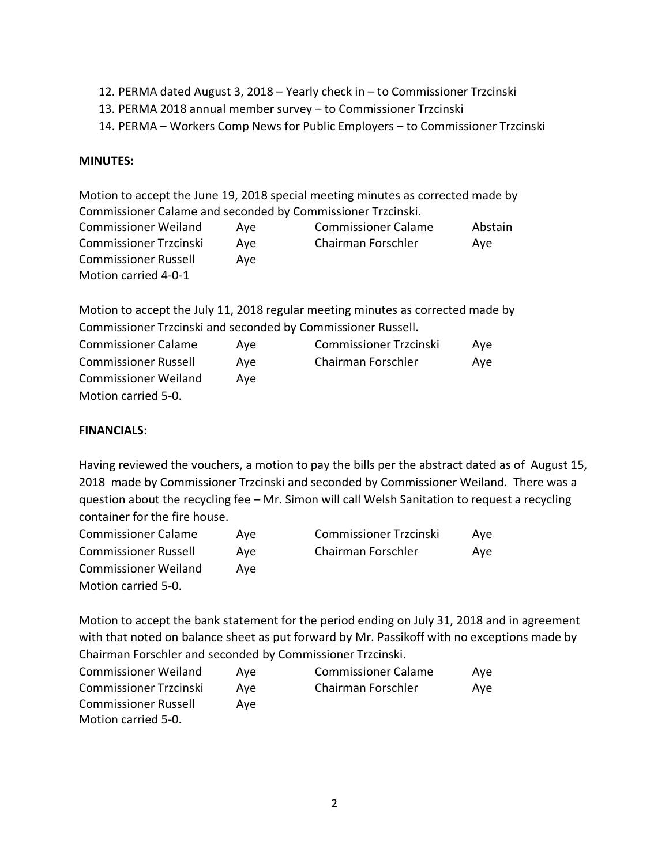- 12. PERMA dated August 3, 2018 Yearly check in to Commissioner Trzcinski
- 13. PERMA 2018 annual member survey to Commissioner Trzcinski
- 14. PERMA Workers Comp News for Public Employers to Commissioner Trzcinski

# **MINUTES:**

Motion to accept the June 19, 2018 special meeting minutes as corrected made by Commissioner Calame and seconded by Commissioner Trzcinski.

| <b>Commissioner Weiland</b> | Ave | <b>Commissioner Calame</b> | Abstain |
|-----------------------------|-----|----------------------------|---------|
| Commissioner Trzcinski      | Ave | Chairman Forschler         | Ave     |
| <b>Commissioner Russell</b> | Ave |                            |         |
| Motion carried 4-0-1        |     |                            |         |

Motion to accept the July 11, 2018 regular meeting minutes as corrected made by Commissioner Trzcinski and seconded by Commissioner Russell.

| <b>Commissioner Calame</b>  | Ave | <b>Commissioner Trzcinski</b> | Ave |
|-----------------------------|-----|-------------------------------|-----|
| <b>Commissioner Russell</b> | Ave | Chairman Forschler            | Ave |
| <b>Commissioner Weiland</b> | Ave |                               |     |
| Motion carried 5-0.         |     |                               |     |

# **FINANCIALS:**

Having reviewed the vouchers, a motion to pay the bills per the abstract dated as of August 15, 2018 made by Commissioner Trzcinski and seconded by Commissioner Weiland. There was a question about the recycling fee – Mr. Simon will call Welsh Sanitation to request a recycling container for the fire house.

| <b>Commissioner Calame</b>  | Ave | <b>Commissioner Trzcinski</b> | Ave |
|-----------------------------|-----|-------------------------------|-----|
| <b>Commissioner Russell</b> | Ave | Chairman Forschler            | Ave |
| <b>Commissioner Weiland</b> | Ave |                               |     |
| Motion carried 5-0.         |     |                               |     |

Motion to accept the bank statement for the period ending on July 31, 2018 and in agreement with that noted on balance sheet as put forward by Mr. Passikoff with no exceptions made by Chairman Forschler and seconded by Commissioner Trzcinski.

| <b>Commissioner Weiland</b>   | Ave | <b>Commissioner Calame</b> | Ave |
|-------------------------------|-----|----------------------------|-----|
| <b>Commissioner Trzcinski</b> | Ave | Chairman Forschler         | Ave |
| <b>Commissioner Russell</b>   | Ave |                            |     |
| Motion carried 5-0.           |     |                            |     |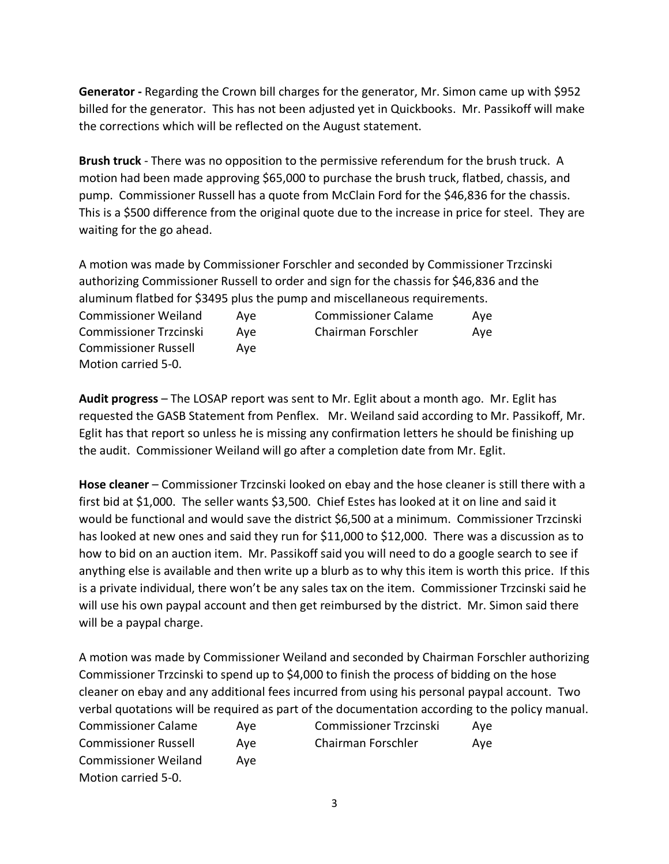**Generator -** Regarding the Crown bill charges for the generator, Mr. Simon came up with \$952 billed for the generator. This has not been adjusted yet in Quickbooks. Mr. Passikoff will make the corrections which will be reflected on the August statement.

**Brush truck** - There was no opposition to the permissive referendum for the brush truck. A motion had been made approving \$65,000 to purchase the brush truck, flatbed, chassis, and pump. Commissioner Russell has a quote from McClain Ford for the \$46,836 for the chassis. This is a \$500 difference from the original quote due to the increase in price for steel. They are waiting for the go ahead.

A motion was made by Commissioner Forschler and seconded by Commissioner Trzcinski authorizing Commissioner Russell to order and sign for the chassis for \$46,836 and the aluminum flatbed for \$3495 plus the pump and miscellaneous requirements.

| <b>Commissioner Weiland</b> | Ave | <b>Commissioner Calame</b> | Ave |
|-----------------------------|-----|----------------------------|-----|
| Commissioner Trzcinski      | Ave | Chairman Forschler         | Ave |
| <b>Commissioner Russell</b> | Ave |                            |     |
| Motion carried 5-0.         |     |                            |     |

**Audit progress** – The LOSAP report was sent to Mr. Eglit about a month ago. Mr. Eglit has requested the GASB Statement from Penflex. Mr. Weiland said according to Mr. Passikoff, Mr. Eglit has that report so unless he is missing any confirmation letters he should be finishing up the audit. Commissioner Weiland will go after a completion date from Mr. Eglit.

**Hose cleaner** – Commissioner Trzcinski looked on ebay and the hose cleaner is still there with a first bid at \$1,000. The seller wants \$3,500. Chief Estes has looked at it on line and said it would be functional and would save the district \$6,500 at a minimum. Commissioner Trzcinski has looked at new ones and said they run for \$11,000 to \$12,000. There was a discussion as to how to bid on an auction item. Mr. Passikoff said you will need to do a google search to see if anything else is available and then write up a blurb as to why this item is worth this price. If this is a private individual, there won't be any sales tax on the item. Commissioner Trzcinski said he will use his own paypal account and then get reimbursed by the district. Mr. Simon said there will be a paypal charge.

A motion was made by Commissioner Weiland and seconded by Chairman Forschler authorizing Commissioner Trzcinski to spend up to \$4,000 to finish the process of bidding on the hose cleaner on ebay and any additional fees incurred from using his personal paypal account. Two verbal quotations will be required as part of the documentation according to the policy manual. Commissioner Calame Aye Commissioner Trzcinski Aye Commissioner Russell Aye Chairman Forschler Aye Commissioner Weiland Aye Motion carried 5-0.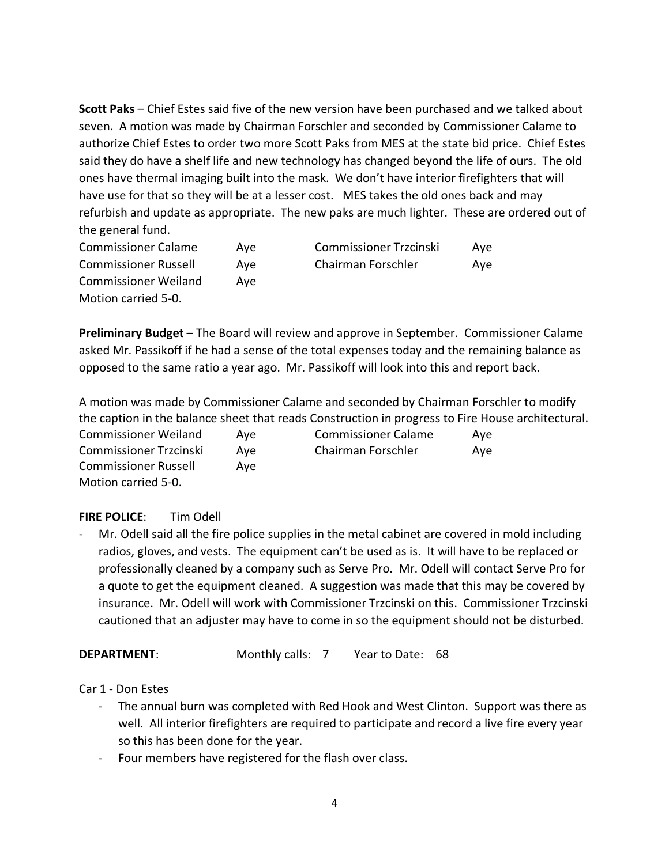**Scott Paks** – Chief Estes said five of the new version have been purchased and we talked about seven. A motion was made by Chairman Forschler and seconded by Commissioner Calame to authorize Chief Estes to order two more Scott Paks from MES at the state bid price. Chief Estes said they do have a shelf life and new technology has changed beyond the life of ours. The old ones have thermal imaging built into the mask. We don't have interior firefighters that will have use for that so they will be at a lesser cost. MES takes the old ones back and may refurbish and update as appropriate. The new paks are much lighter. These are ordered out of the general fund.

| <b>Commissioner Calame</b>  | Ave | <b>Commissioner Trzcinski</b> | Ave |
|-----------------------------|-----|-------------------------------|-----|
| <b>Commissioner Russell</b> | Ave | Chairman Forschler            | Ave |
| <b>Commissioner Weiland</b> | Ave |                               |     |
| Motion carried 5-0.         |     |                               |     |

**Preliminary Budget** – The Board will review and approve in September. Commissioner Calame asked Mr. Passikoff if he had a sense of the total expenses today and the remaining balance as opposed to the same ratio a year ago. Mr. Passikoff will look into this and report back.

A motion was made by Commissioner Calame and seconded by Chairman Forschler to modify the caption in the balance sheet that reads Construction in progress to Fire House architectural. Commissioner Weiland Aye Commissioner Calame Aye Commissioner Trzcinski Aye Chairman Forschler Aye Commissioner Russell Aye Motion carried 5-0.

# **FIRE POLICE**: Tim Odell

Mr. Odell said all the fire police supplies in the metal cabinet are covered in mold including radios, gloves, and vests. The equipment can't be used as is. It will have to be replaced or professionally cleaned by a company such as Serve Pro. Mr. Odell will contact Serve Pro for a quote to get the equipment cleaned. A suggestion was made that this may be covered by insurance. Mr. Odell will work with Commissioner Trzcinski on this. Commissioner Trzcinski cautioned that an adjuster may have to come in so the equipment should not be disturbed.

# **DEPARTMENT:** Monthly calls: 7 Year to Date: 68

Car 1 - Don Estes

- The annual burn was completed with Red Hook and West Clinton. Support was there as well. All interior firefighters are required to participate and record a live fire every year so this has been done for the year.
- Four members have registered for the flash over class.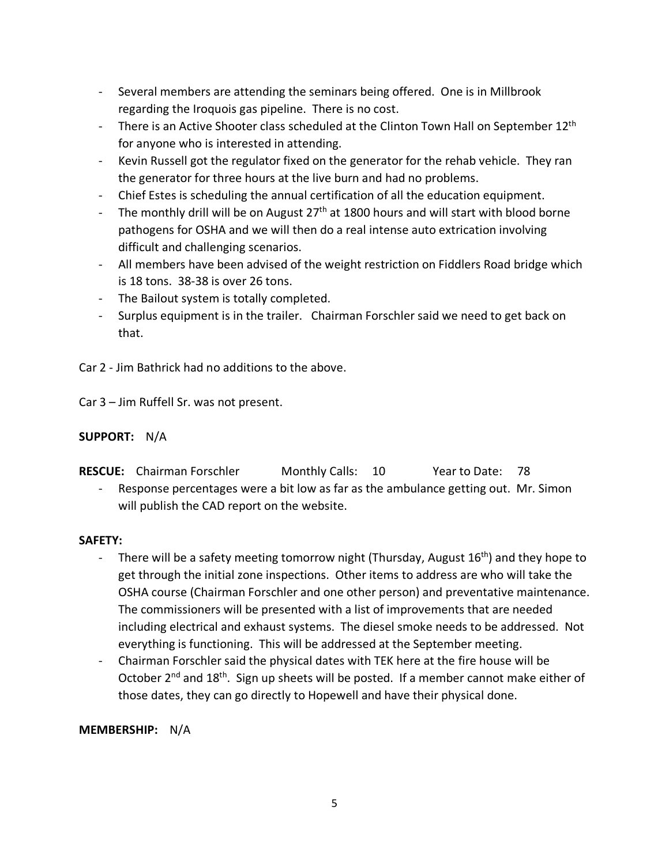- Several members are attending the seminars being offered. One is in Millbrook regarding the Iroquois gas pipeline. There is no cost.
- There is an Active Shooter class scheduled at the Clinton Town Hall on September 12<sup>th</sup> for anyone who is interested in attending.
- Kevin Russell got the regulator fixed on the generator for the rehab vehicle. They ran the generator for three hours at the live burn and had no problems.
- Chief Estes is scheduling the annual certification of all the education equipment.
- The monthly drill will be on August  $27<sup>th</sup>$  at 1800 hours and will start with blood borne pathogens for OSHA and we will then do a real intense auto extrication involving difficult and challenging scenarios.
- All members have been advised of the weight restriction on Fiddlers Road bridge which is 18 tons. 38-38 is over 26 tons.
- The Bailout system is totally completed.
- Surplus equipment is in the trailer. Chairman Forschler said we need to get back on that.

Car 2 - Jim Bathrick had no additions to the above.

Car 3 – Jim Ruffell Sr. was not present.

# **SUPPORT:** N/A

| <b>RESCUE:</b> Chairman Forschler | Monthly Calls: 10 | Year to Date: 78 |  |
|-----------------------------------|-------------------|------------------|--|
|                                   |                   |                  |  |

- Response percentages were a bit low as far as the ambulance getting out. Mr. Simon will publish the CAD report on the website.

# **SAFETY:**

- There will be a safety meeting tomorrow night (Thursday, August  $16<sup>th</sup>$ ) and they hope to get through the initial zone inspections. Other items to address are who will take the OSHA course (Chairman Forschler and one other person) and preventative maintenance. The commissioners will be presented with a list of improvements that are needed including electrical and exhaust systems. The diesel smoke needs to be addressed. Not everything is functioning. This will be addressed at the September meeting.
- Chairman Forschler said the physical dates with TEK here at the fire house will be October 2<sup>nd</sup> and 18<sup>th</sup>. Sign up sheets will be posted. If a member cannot make either of those dates, they can go directly to Hopewell and have their physical done.

# **MEMBERSHIP:** N/A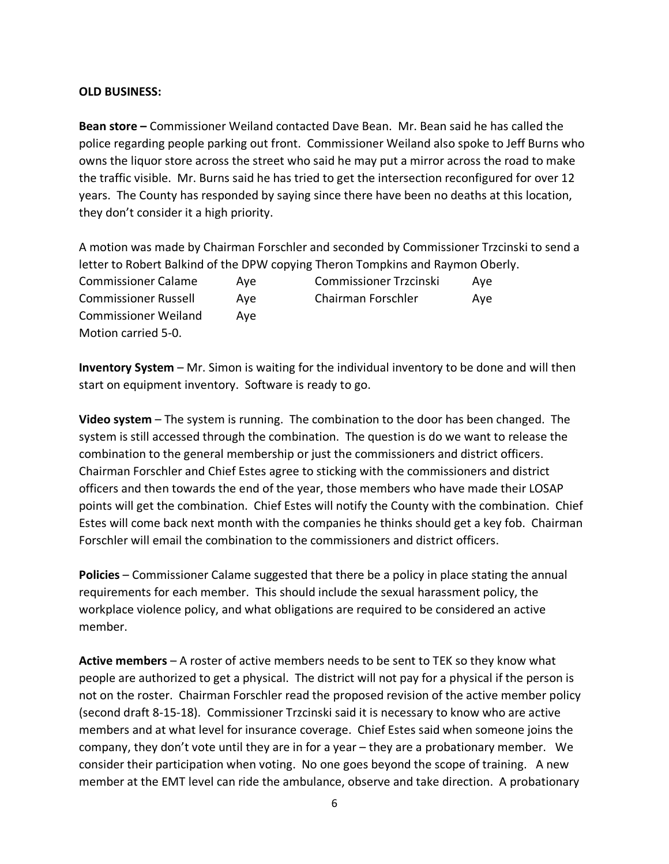### **OLD BUSINESS:**

**Bean store –** Commissioner Weiland contacted Dave Bean. Mr. Bean said he has called the police regarding people parking out front. Commissioner Weiland also spoke to Jeff Burns who owns the liquor store across the street who said he may put a mirror across the road to make the traffic visible. Mr. Burns said he has tried to get the intersection reconfigured for over 12 years. The County has responded by saying since there have been no deaths at this location, they don't consider it a high priority.

A motion was made by Chairman Forschler and seconded by Commissioner Trzcinski to send a letter to Robert Balkind of the DPW copying Theron Tompkins and Raymon Oberly. Commissioner Calame Aye Commissioner Trzcinski Aye Commissioner Russell Aye Chairman Forschler Aye Commissioner Weiland Aye Motion carried 5-0.

**Inventory System** – Mr. Simon is waiting for the individual inventory to be done and will then start on equipment inventory. Software is ready to go.

**Video system** – The system is running. The combination to the door has been changed. The system is still accessed through the combination. The question is do we want to release the combination to the general membership or just the commissioners and district officers. Chairman Forschler and Chief Estes agree to sticking with the commissioners and district officers and then towards the end of the year, those members who have made their LOSAP points will get the combination. Chief Estes will notify the County with the combination. Chief Estes will come back next month with the companies he thinks should get a key fob. Chairman Forschler will email the combination to the commissioners and district officers.

**Policies** – Commissioner Calame suggested that there be a policy in place stating the annual requirements for each member. This should include the sexual harassment policy, the workplace violence policy, and what obligations are required to be considered an active member.

**Active members** – A roster of active members needs to be sent to TEK so they know what people are authorized to get a physical. The district will not pay for a physical if the person is not on the roster. Chairman Forschler read the proposed revision of the active member policy (second draft 8-15-18). Commissioner Trzcinski said it is necessary to know who are active members and at what level for insurance coverage. Chief Estes said when someone joins the company, they don't vote until they are in for a year – they are a probationary member. We consider their participation when voting. No one goes beyond the scope of training. A new member at the EMT level can ride the ambulance, observe and take direction. A probationary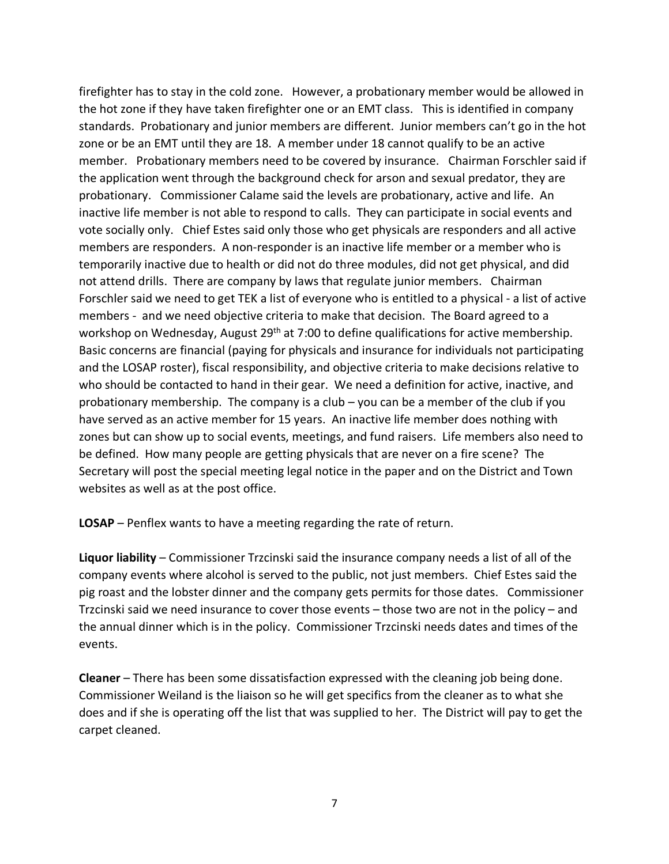firefighter has to stay in the cold zone. However, a probationary member would be allowed in the hot zone if they have taken firefighter one or an EMT class. This is identified in company standards. Probationary and junior members are different. Junior members can't go in the hot zone or be an EMT until they are 18. A member under 18 cannot qualify to be an active member. Probationary members need to be covered by insurance. Chairman Forschler said if the application went through the background check for arson and sexual predator, they are probationary. Commissioner Calame said the levels are probationary, active and life. An inactive life member is not able to respond to calls. They can participate in social events and vote socially only. Chief Estes said only those who get physicals are responders and all active members are responders. A non-responder is an inactive life member or a member who is temporarily inactive due to health or did not do three modules, did not get physical, and did not attend drills. There are company by laws that regulate junior members. Chairman Forschler said we need to get TEK a list of everyone who is entitled to a physical - a list of active members - and we need objective criteria to make that decision. The Board agreed to a workshop on Wednesday, August 29<sup>th</sup> at 7:00 to define qualifications for active membership. Basic concerns are financial (paying for physicals and insurance for individuals not participating and the LOSAP roster), fiscal responsibility, and objective criteria to make decisions relative to who should be contacted to hand in their gear. We need a definition for active, inactive, and probationary membership. The company is a club – you can be a member of the club if you have served as an active member for 15 years. An inactive life member does nothing with zones but can show up to social events, meetings, and fund raisers. Life members also need to be defined. How many people are getting physicals that are never on a fire scene? The Secretary will post the special meeting legal notice in the paper and on the District and Town websites as well as at the post office.

**LOSAP** – Penflex wants to have a meeting regarding the rate of return.

**Liquor liability** – Commissioner Trzcinski said the insurance company needs a list of all of the company events where alcohol is served to the public, not just members. Chief Estes said the pig roast and the lobster dinner and the company gets permits for those dates. Commissioner Trzcinski said we need insurance to cover those events – those two are not in the policy – and the annual dinner which is in the policy. Commissioner Trzcinski needs dates and times of the events.

**Cleaner** – There has been some dissatisfaction expressed with the cleaning job being done. Commissioner Weiland is the liaison so he will get specifics from the cleaner as to what she does and if she is operating off the list that was supplied to her. The District will pay to get the carpet cleaned.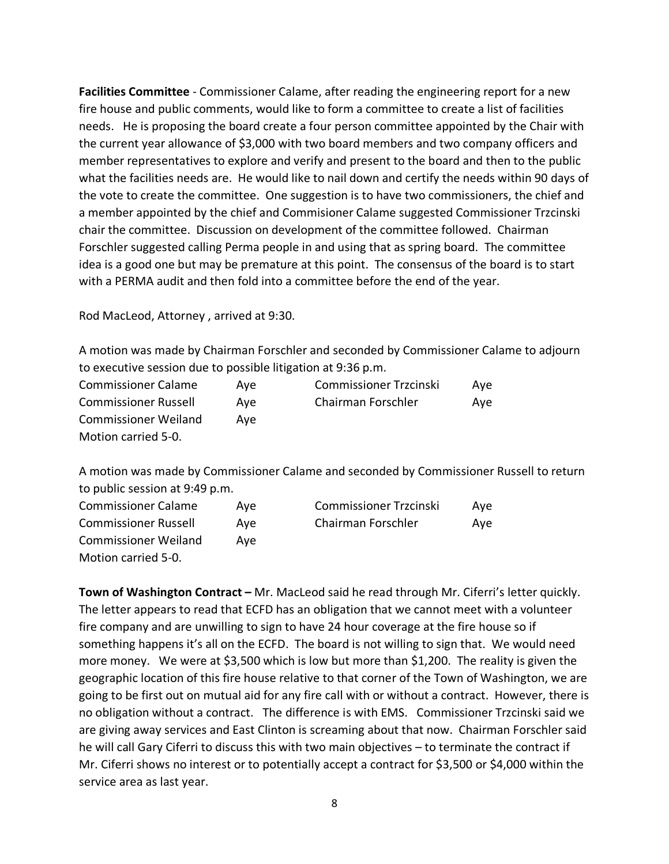**Facilities Committee** - Commissioner Calame, after reading the engineering report for a new fire house and public comments, would like to form a committee to create a list of facilities needs. He is proposing the board create a four person committee appointed by the Chair with the current year allowance of \$3,000 with two board members and two company officers and member representatives to explore and verify and present to the board and then to the public what the facilities needs are. He would like to nail down and certify the needs within 90 days of the vote to create the committee. One suggestion is to have two commissioners, the chief and a member appointed by the chief and Commisioner Calame suggested Commissioner Trzcinski chair the committee. Discussion on development of the committee followed. Chairman Forschler suggested calling Perma people in and using that as spring board. The committee idea is a good one but may be premature at this point. The consensus of the board is to start with a PERMA audit and then fold into a committee before the end of the year.

Rod MacLeod, Attorney , arrived at 9:30.

A motion was made by Chairman Forschler and seconded by Commissioner Calame to adjourn to executive session due to possible litigation at 9:36 p.m.

| <b>Commissioner Calame</b>  | Ave | <b>Commissioner Trzcinski</b> | Ave |
|-----------------------------|-----|-------------------------------|-----|
| <b>Commissioner Russell</b> | Ave | Chairman Forschler            | Ave |
| <b>Commissioner Weiland</b> | Ave |                               |     |
| Motion carried 5-0.         |     |                               |     |

A motion was made by Commissioner Calame and seconded by Commissioner Russell to return to public session at 9:49 p.m.

| <b>Commissioner Calame</b>  | Ave | <b>Commissioner Trzcinski</b> | Ave |
|-----------------------------|-----|-------------------------------|-----|
| <b>Commissioner Russell</b> | Ave | Chairman Forschler            | Ave |
| <b>Commissioner Weiland</b> | Ave |                               |     |
| Motion carried 5-0.         |     |                               |     |

**Town of Washington Contract –** Mr. MacLeod said he read through Mr. Ciferri's letter quickly. The letter appears to read that ECFD has an obligation that we cannot meet with a volunteer fire company and are unwilling to sign to have 24 hour coverage at the fire house so if something happens it's all on the ECFD. The board is not willing to sign that. We would need more money. We were at \$3,500 which is low but more than \$1,200. The reality is given the geographic location of this fire house relative to that corner of the Town of Washington, we are going to be first out on mutual aid for any fire call with or without a contract. However, there is no obligation without a contract. The difference is with EMS. Commissioner Trzcinski said we are giving away services and East Clinton is screaming about that now. Chairman Forschler said he will call Gary Ciferri to discuss this with two main objectives – to terminate the contract if Mr. Ciferri shows no interest or to potentially accept a contract for \$3,500 or \$4,000 within the service area as last year.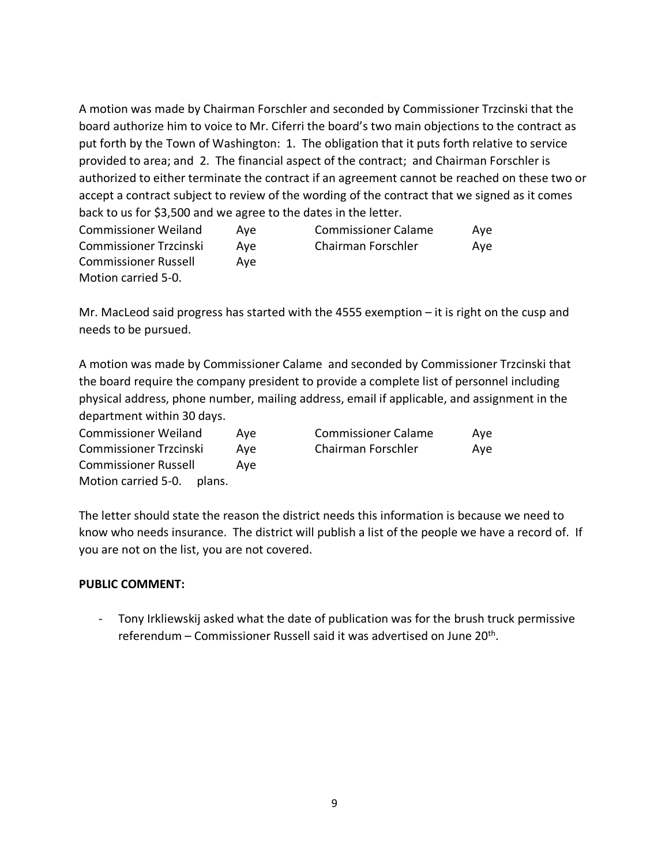A motion was made by Chairman Forschler and seconded by Commissioner Trzcinski that the board authorize him to voice to Mr. Ciferri the board's two main objections to the contract as put forth by the Town of Washington: 1. The obligation that it puts forth relative to service provided to area; and 2. The financial aspect of the contract; and Chairman Forschler is authorized to either terminate the contract if an agreement cannot be reached on these two or accept a contract subject to review of the wording of the contract that we signed as it comes back to us for \$3,500 and we agree to the dates in the letter.

| <b>Commissioner Weiland</b>   | Ave | <b>Commissioner Calame</b> | Ave |
|-------------------------------|-----|----------------------------|-----|
| <b>Commissioner Trzcinski</b> | Ave | Chairman Forschler         | Ave |
| <b>Commissioner Russell</b>   | Ave |                            |     |
| Motion carried 5-0.           |     |                            |     |

Mr. MacLeod said progress has started with the 4555 exemption – it is right on the cusp and needs to be pursued.

A motion was made by Commissioner Calame and seconded by Commissioner Trzcinski that the board require the company president to provide a complete list of personnel including physical address, phone number, mailing address, email if applicable, and assignment in the department within 30 days.

| <b>Commissioner Weiland</b>   | Ave | <b>Commissioner Calame</b> | Ave |
|-------------------------------|-----|----------------------------|-----|
| Commissioner Trzcinski        | Ave | Chairman Forschler         | Ave |
| <b>Commissioner Russell</b>   | Ave |                            |     |
| Motion carried 5-0.<br>plans. |     |                            |     |

The letter should state the reason the district needs this information is because we need to know who needs insurance. The district will publish a list of the people we have a record of. If you are not on the list, you are not covered.

# **PUBLIC COMMENT:**

- Tony Irkliewskij asked what the date of publication was for the brush truck permissive referendum – Commissioner Russell said it was advertised on June 20<sup>th</sup>.